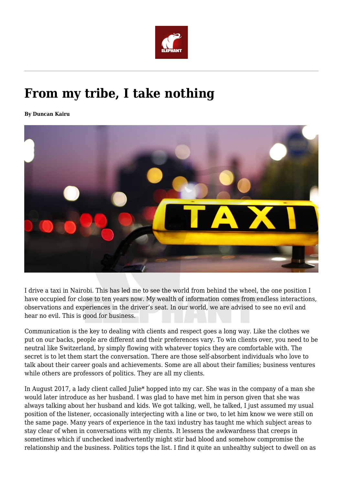

## **From my tribe, I take nothing**

**By Duncan Kairu**



I drive a taxi in Nairobi. This has led me to see the world from behind the wheel, the one position I have occupied for close to ten years now. My wealth of information comes from endless interactions, observations and experiences in the driver's seat. In our world, we are advised to see no evil and hear no evil. This is good for business.

Communication is the key to dealing with clients and respect goes a long way. Like the clothes we put on our backs, people are different and their preferences vary. To win clients over, you need to be neutral like Switzerland, by simply flowing with whatever topics they are comfortable with. The secret is to let them start the conversation. There are those self-absorbent individuals who love to talk about their career goals and achievements. Some are all about their families; business ventures while others are professors of politics. They are all my clients.

In August 2017, a lady client called Julie\* hopped into my car. She was in the company of a man she would later introduce as her husband. I was glad to have met him in person given that she was always talking about her husband and kids. We got talking, well, he talked, I just assumed my usual position of the listener, occasionally interjecting with a line or two, to let him know we were still on the same page. Many years of experience in the taxi industry has taught me which subject areas to stay clear of when in conversations with my clients. It lessens the awkwardness that creeps in sometimes which if unchecked inadvertently might stir bad blood and somehow compromise the relationship and the business. Politics tops the list. I find it quite an unhealthy subject to dwell on as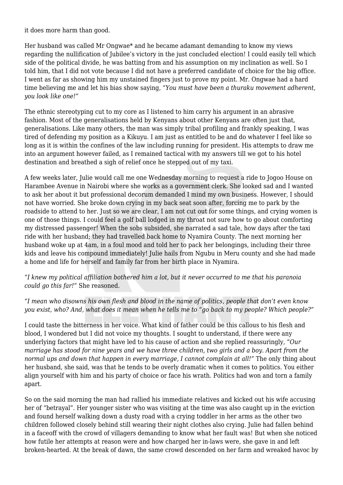it does more harm than good.

Her husband was called Mr Ongwae\* and he became adamant demanding to know my views regarding the nullification of Jubilee's victory in the just concluded election! I could easily tell which side of the political divide, he was batting from and his assumption on my inclination as well. So I told him, that I did not vote because I did not have a preferred candidate of choice for the big office. I went as far as showing him my unstained fingers just to prove my point. Mr. Ongwae had a hard time believing me and let his bias show saying, *"You must have been a thuraku movement adherent, you look like one!"*

The ethnic stereotyping cut to my core as I listened to him carry his argument in an abrasive fashion. Most of the generalisations held by Kenyans about other Kenyans are often just that, generalisations. Like many others, the man was simply tribal profiling and frankly speaking, I was tired of defending my position as a Kikuyu. I am just as entitled to be and do whatever I feel like so long as it is within the confines of the law including running for president. His attempts to draw me into an argument however failed, as I remained tactical with my answers till we got to his hotel destination and breathed a sigh of relief once he stepped out of my taxi.

A few weeks later, Julie would call me one Wednesday morning to request a ride to Jogoo House on Harambee Avenue in Nairobi where she works as a government clerk. She looked sad and I wanted to ask her about it but professional decorum demanded I mind my own business. However, I should not have worried. She broke down crying in my back seat soon after, forcing me to park by the roadside to attend to her. Just so we are clear, I am not cut out for some things, and crying women is one of those things. I could feel a golf ball lodged in my throat not sure how to go about comforting my distressed passenger! When the sobs subsided, she narrated a sad tale, how days after the taxi ride with her husband; they had travelled back home to Nyamira County. The next morning her husband woke up at 4am, in a foul mood and told her to pack her belongings, including their three kids and leave his compound immediately! Julie hails from Ngubu in Meru county and she had made a home and life for herself and family far from her birth place in Nyamira.

*"I knew my political affiliation bothered him a lot, but it never occurred to me that his paranoia could go this far!"* She reasoned.

*"I mean who disowns his own flesh and blood in the name of politics, people that don't even know you exist, who? And, what does it mean when he tells me to "go back to my people? Which people?"*

I could taste the bitterness in her voice. What kind of father could be this callous to his flesh and blood, I wondered but I did not voice my thoughts. I sought to understand, if there were any underlying factors that might have led to his cause of action and she replied reassuringly, *"Our marriage has stood for nine years and we have three children, two girls and a boy. Apart from the normal ups and down that happen in every marriage, I cannot complain at all!"* The only thing about her husband, she said, was that he tends to be overly dramatic when it comes to politics. You either align yourself with him and his party of choice or face his wrath. Politics had won and torn a family apart.

So on the said morning the man had rallied his immediate relatives and kicked out his wife accusing her of "betrayal". Her younger sister who was visiting at the time was also caught up in the eviction and found herself walking down a dusty road with a crying toddler in her arms as the other two children followed closely behind still wearing their night clothes also crying. Julie had fallen behind in a faceoff with the crowd of villagers demanding to know what her fault was! But when she noticed how futile her attempts at reason were and how charged her in-laws were, she gave in and left broken-hearted. At the break of dawn, the same crowd descended on her farm and wreaked havoc by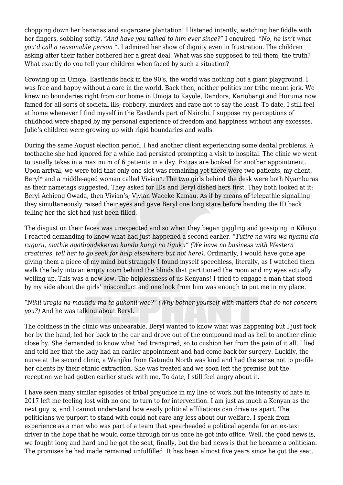chopping down her bananas and sugarcane plantation! I listened intently, watching her fiddle with her fingers, sobbing softly. *"And have you talked to him ever since?"* I enquired. *"No, he isn't what you'd call a reasonable person ".* I admired her show of dignity even in frustration. The children asking after their father bothered her a great deal. What was she supposed to tell them, the truth? What exactly do you tell your children when faced by such a situation?

Growing up in Umoja, Eastlands back in the 90's, the world was nothing but a giant playground. I was free and happy without a care in the world. Back then, neither politics nor tribe meant jerk. We knew no boundaries right from our home in Umoja to Kayole, Dandora, Kariobangi and Huruma now famed for all sorts of societal ills; robbery, murders and rape not to say the least. To date, I still feel at home whenever I find myself in the Eastlands part of Nairobi. I suppose my perceptions of childhood were shaped by my personal experience of freedom and happiness without any excesses. Julie's children were growing up with rigid boundaries and walls.

During the same August election period, I had another client experiencing some dental problems. A toothache she had ignored for a while had persisted prompting a visit to hospital. The clinic we went to usually takes in a maximum of 6 patients in a day. Extras are booked for another appointment. Upon arrival, we were told that only one slot was remaining yet there were two patients, my client, Beryl\* and a middle-aged woman called Vivian\*. The two girls behind the desk were both Nyamburas as their nametags suggested. They asked for IDs and Beryl dished hers first. They both looked at it; Beryl Achieng Owada, then Vivian's; Vivian Waceke Kamau. As if by means of telepathic signalling they simultaneously raised their eyes and gave Beryl one long stare before handing the ID back telling her the slot had just been filled.

The disgust on their faces was unexpected and so when they began giggling and gossiping in Kikuyu I reacted demanding to know what had just happened a second earlier. "*Tutire na wira wa nyamu cia ruguru, niathie agathondekerwo kundu kungi no tiguku" (We have no business with Western creatures, tell her to go seek for help elsewhere but not here).* Ordinarily, I would have gone ape giving them a piece of my mind but strangely I found myself speechless, literally, as I watched them walk the lady into an empty room behind the blinds that partitioned the room and my eyes actually welling up. This was a new low. The helplessness of us Kenyans! I tried to engage a man that stood by my side about the girls' misconduct and one look from him was enough to put me in my place.

*"Nikii uregia na maundu ma ta gukonii wee?" (Why bother yourself with matters that do not concern you?)* And he was talking about Beryl.

The coldness in the clinic was unbearable. Beryl wanted to know what was happening but I just took her by the hand, led her back to the car and drove out of the compound mad as hell to another clinic close by. She demanded to know what had transpired, so to cushion her from the pain of it all, I lied and told her that the lady had an earlier appointment and had come back for surgery. Luckily, the nurse at the second clinic, a Wanjiku from Gatundu North was kind and had the sense not to profile her clients by their ethnic extraction. She was treated and we soon left the premise but the reception we had gotten earlier stuck with me. To date, I still feel angry about it.

I have seen many similar episodes of tribal prejudice in my line of work but the intensity of hate in 2017 left me feeling lost with no one to turn to for intervention. I am just as much a Kenyan as the next guy is, and I cannot understand how easily political affiliations can drive us apart. The politicians we purport to stand with could not care any less about our welfare. I speak from experience as a man who was part of a team that spearheaded a political agenda for an ex-taxi driver in the hope that he would come through for us once he got into office. Well, the good news is, we fought long and hard and he got the seat, finally, but the bad news is that he became a politician. The promises he had made remained unfulfilled. It has been almost five years since he got the seat.